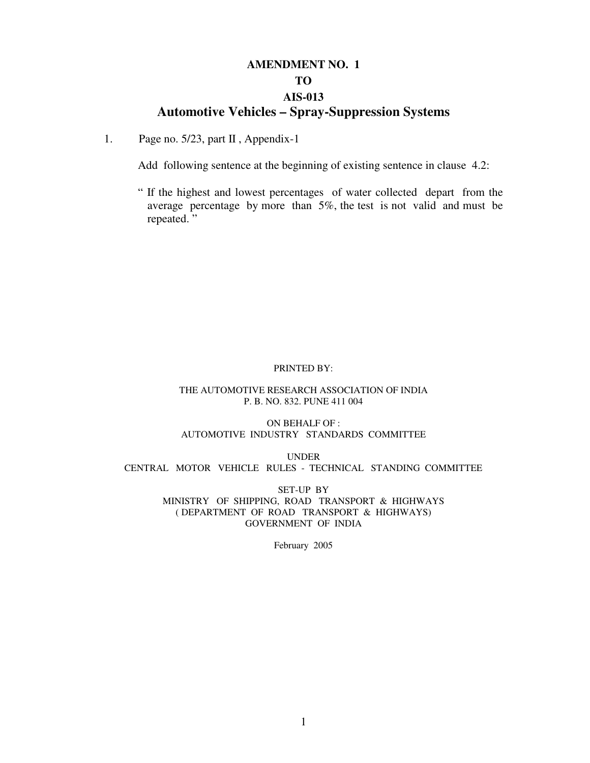# **AMENDMENT NO. 1 TO AIS-013 Automotive Vehicles – Spray-Suppression Systems**

#### 1. Page no. 5/23, part II , Appendix-1

Add following sentence at the beginning of existing sentence in clause 4.2:

" If the highest and lowest percentages of water collected depart from the average percentage by more than 5%, the test is not valid and must be repeated. "

#### PRINTED BY:

#### THE AUTOMOTIVE RESEARCH ASSOCIATION OF INDIA P. B. NO. 832. PUNE 411 004

ON BEHALF OF : AUTOMOTIVE INDUSTRY STANDARDS COMMITTEE

UNDER CENTRAL MOTOR VEHICLE RULES - TECHNICAL STANDING COMMITTEE

> SET-UP BY MINISTRY OF SHIPPING, ROAD TRANSPORT & HIGHWAYS ( DEPARTMENT OF ROAD TRANSPORT & HIGHWAYS) GOVERNMENT OF INDIA

> > February 2005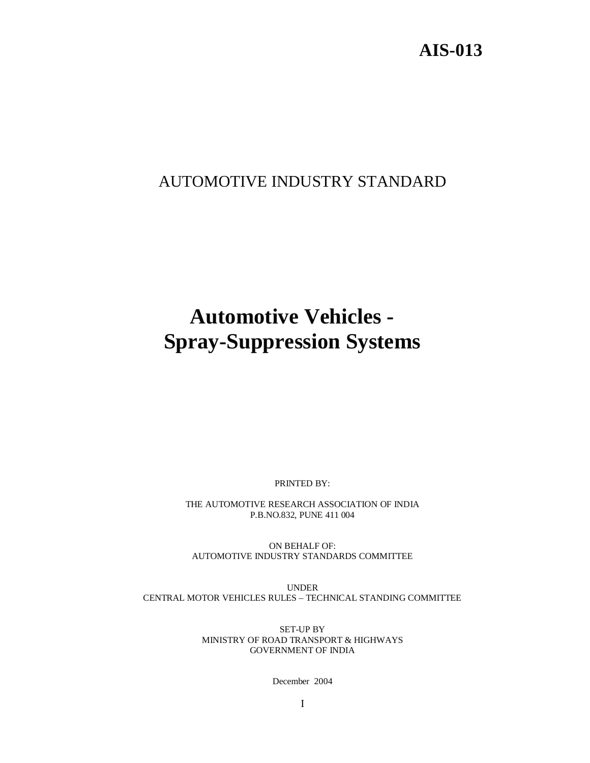# **AIS-013**

# AUTOMOTIVE INDUSTRY STANDARD

# **Automotive Vehicles - Spray-Suppression Systems**

PRINTED BY:

THE AUTOMOTIVE RESEARCH ASSOCIATION OF INDIA P.B.NO.832, PUNE 411 004

ON BEHALF OF: AUTOMOTIVE INDUSTRY STANDARDS COMMITTEE

UNDER CENTRAL MOTOR VEHICLES RULES – TECHNICAL STANDING COMMITTEE

> SET-UP BY MINISTRY OF ROAD TRANSPORT & HIGHWAYS GOVERNMENT OF INDIA

> > December 2004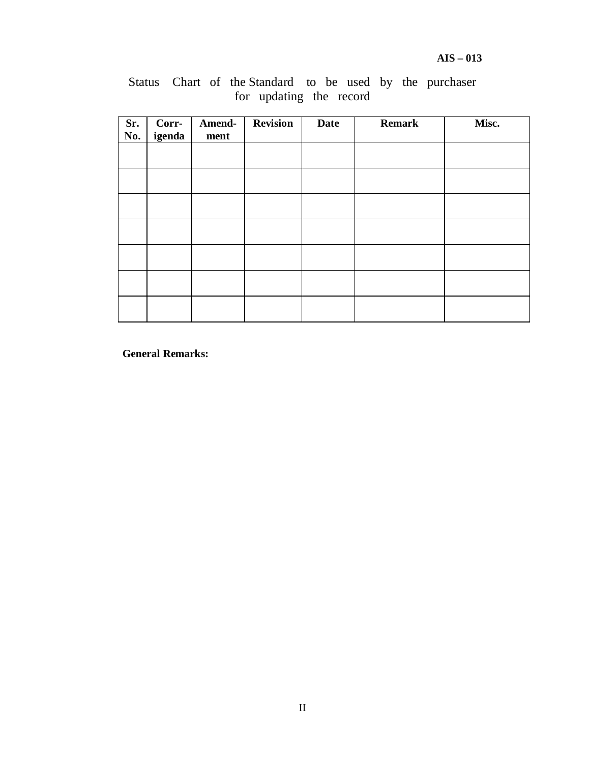| Sr.<br>No. | Corr-<br>igenda | Amend-<br>ment | <b>Revision</b> | <b>Date</b> | <b>Remark</b> | Misc. |
|------------|-----------------|----------------|-----------------|-------------|---------------|-------|
|            |                 |                |                 |             |               |       |
|            |                 |                |                 |             |               |       |
|            |                 |                |                 |             |               |       |
|            |                 |                |                 |             |               |       |
|            |                 |                |                 |             |               |       |
|            |                 |                |                 |             |               |       |
|            |                 |                |                 |             |               |       |

Status Chart of the Standard to be used by the purchaser for updating the record

**General Remarks:**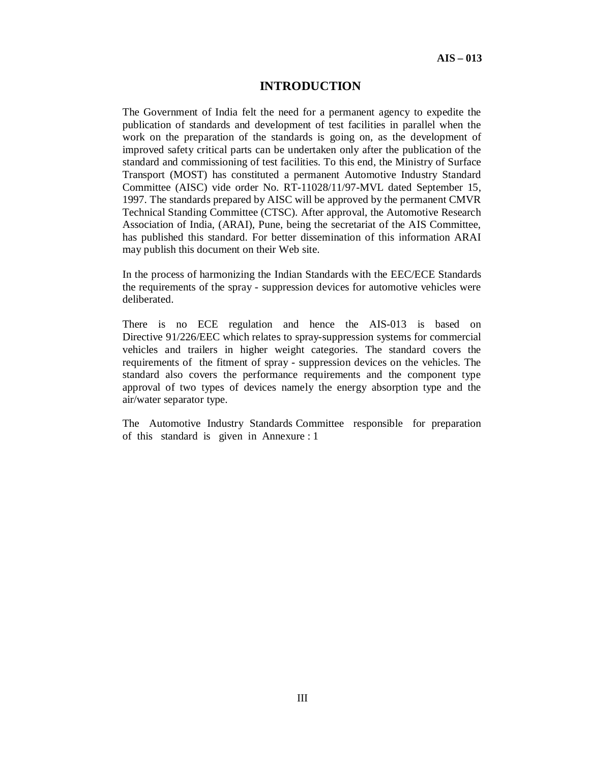#### **INTRODUCTION**

The Government of India felt the need for a permanent agency to expedite the publication of standards and development of test facilities in parallel when the work on the preparation of the standards is going on, as the development of improved safety critical parts can be undertaken only after the publication of the standard and commissioning of test facilities. To this end, the Ministry of Surface Transport (MOST) has constituted a permanent Automotive Industry Standard Committee (AISC) vide order No. RT-11028/11/97-MVL dated September 15, 1997. The standards prepared by AISC will be approved by the permanent CMVR Technical Standing Committee (CTSC). After approval, the Automotive Research Association of India, (ARAI), Pune, being the secretariat of the AIS Committee, has published this standard. For better dissemination of this information ARAI may publish this document on their Web site.

In the process of harmonizing the Indian Standards with the EEC/ECE Standards the requirements of the spray - suppression devices for automotive vehicles were deliberated.

There is no ECE regulation and hence the AIS-013 is based on Directive 91/226/EEC which relates to spray-suppression systems for commercial vehicles and trailers in higher weight categories. The standard covers the requirements of the fitment of spray - suppression devices on the vehicles. The standard also covers the performance requirements and the component type approval of two types of devices namely the energy absorption type and the air/water separator type.

The Automotive Industry Standards Committee responsible for preparation of this standard is given in Annexure : 1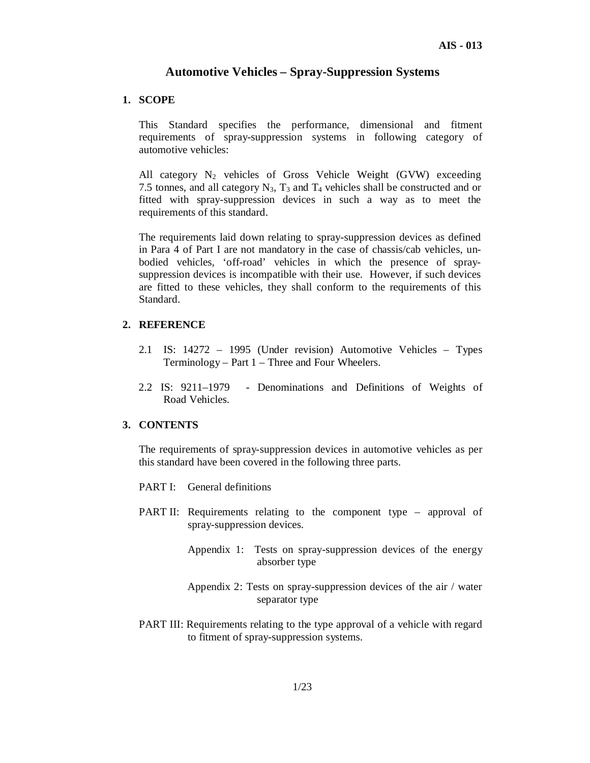# **Automotive Vehicles – Spray-Suppression Systems**

#### **1. SCOPE**

This Standard specifies the performance, dimensional and fitment requirements of spray-suppression systems in following category of automotive vehicles:

All category  $N_2$  vehicles of Gross Vehicle Weight (GVW) exceeding 7.5 tonnes, and all category  $N_3$ ,  $T_3$  and  $T_4$  vehicles shall be constructed and or fitted with spray-suppression devices in such a way as to meet the requirements of this standard.

The requirements laid down relating to spray-suppression devices as defined in Para 4 of Part I are not mandatory in the case of chassis/cab vehicles, unbodied vehicles, 'off-road' vehicles in which the presence of spraysuppression devices is incompatible with their use. However, if such devices are fitted to these vehicles, they shall conform to the requirements of this Standard.

#### **2. REFERENCE**

- 2.1 IS: 14272 1995 (Under revision) Automotive Vehicles Types Terminology – Part 1 – Three and Four Wheelers.
- 2.2 IS: 9211–1979 Denominations and Definitions of Weights of Road Vehicles.

#### **3. CONTENTS**

The requirements of spray-suppression devices in automotive vehicles as per this standard have been covered in the following three parts.

- PART I: General definitions
- PART II: Requirements relating to the component type approval of spray-suppression devices.
	- Appendix 1: Tests on spray-suppression devices of the energy absorber type
	- Appendix 2: Tests on spray-suppression devices of the air / water separator type
- PART III: Requirements relating to the type approval of a vehicle with regard to fitment of spray-suppression systems.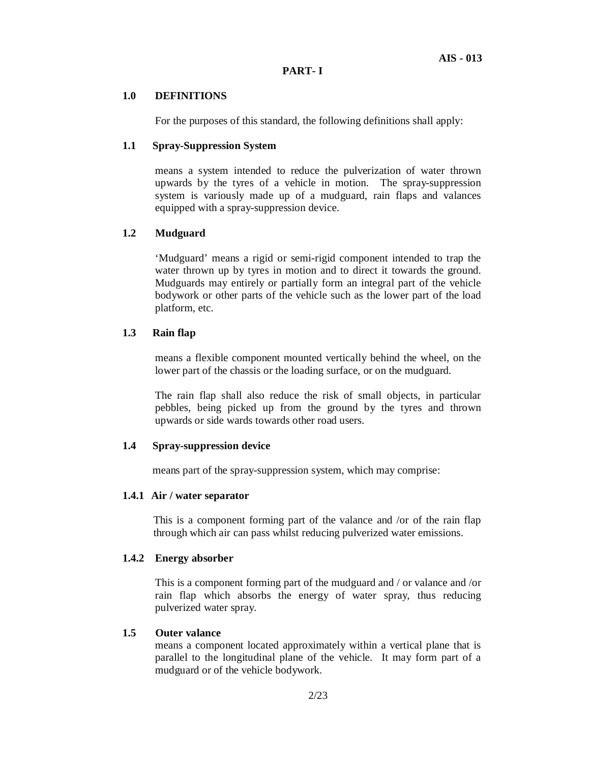#### **1.0 DEFINITIONS**

For the purposes of this standard, the following definitions shall apply:

#### **1.1 Spray-Suppression System**

means a system intended to reduce the pulverization of water thrown upwards by the tyres of a vehicle in motion. The spray-suppression system is variously made up of a mudguard, rain flaps and valances equipped with a spray-suppression device.

# **1.2 Mudguard**

'Mudguard' means a rigid or semi-rigid component intended to trap the water thrown up by tyres in motion and to direct it towards the ground. Mudguards may entirely or partially form an integral part of the vehicle bodywork or other parts of the vehicle such as the lower part of the load platform, etc.

#### **1.3 Rain flap**

means a flexible component mounted vertically behind the wheel, on the lower part of the chassis or the loading surface, or on the mudguard.

The rain flap shall also reduce the risk of small objects, in particular pebbles, being picked up from the ground by the tyres and thrown upwards or side wards towards other road users.

#### **1.4 Spray-suppression device**

means part of the spray-suppression system, which may comprise:

#### **1.4.1 Air / water separator**

This is a component forming part of the valance and /or of the rain flap through which air can pass whilst reducing pulverized water emissions.

#### **1.4.2 Energy absorber**

This is a component forming part of the mudguard and / or valance and /or rain flap which absorbs the energy of water spray, thus reducing pulverized water spray.

#### **1.5 Outer valance**

means a component located approximately within a vertical plane that is parallel to the longitudinal plane of the vehicle. It may form part of a mudguard or of the vehicle bodywork.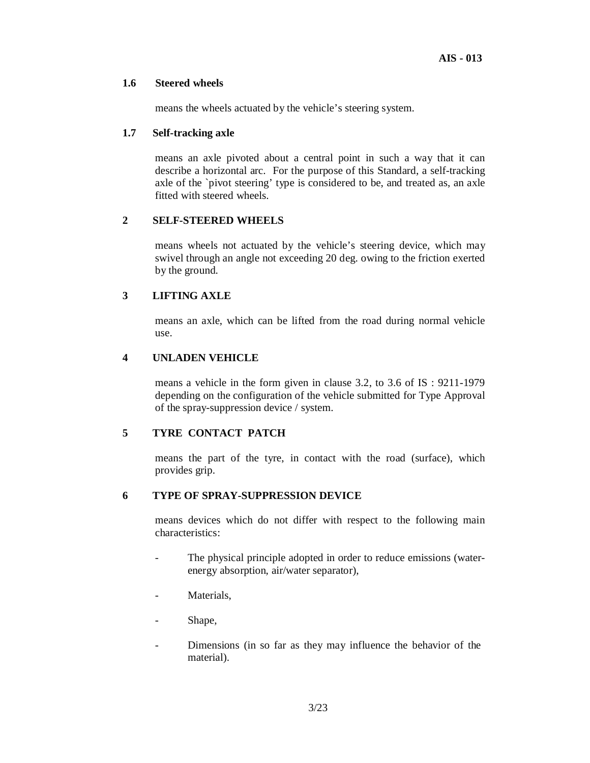#### **1.6 Steered wheels**

means the wheels actuated by the vehicle's steering system.

#### **1.7 Self-tracking axle**

means an axle pivoted about a central point in such a way that it can describe a horizontal arc. For the purpose of this Standard, a self-tracking axle of the `pivot steering' type is considered to be, and treated as, an axle fitted with steered wheels.

#### **2 SELF-STEERED WHEELS**

means wheels not actuated by the vehicle's steering device, which may swivel through an angle not exceeding 20 deg. owing to the friction exerted by the ground.

# **3 LIFTING AXLE**

means an axle, which can be lifted from the road during normal vehicle use.

#### **4 UNLADEN VEHICLE**

means a vehicle in the form given in clause 3.2, to 3.6 of IS : 9211-1979 depending on the configuration of the vehicle submitted for Type Approval of the spray-suppression device / system.

#### **5 TYRE CONTACT PATCH**

means the part of the tyre, in contact with the road (surface), which provides grip.

# **6 TYPE OF SPRAY-SUPPRESSION DEVICE**

means devices which do not differ with respect to the following main characteristics:

- The physical principle adopted in order to reduce emissions (waterenergy absorption, air/water separator),
- Materials,
- Shape,
- Dimensions (in so far as they may influence the behavior of the material).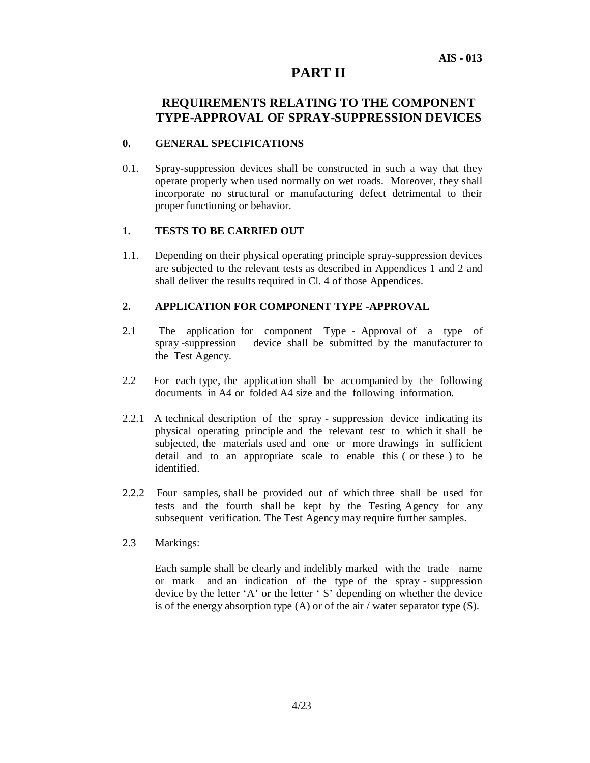# **PART II**

# **REQUIREMENTS RELATING TO THE COMPONENT TYPE-APPROVAL OF SPRAY-SUPPRESSION DEVICES**

#### **0. GENERAL SPECIFICATIONS**

0.1. Spray-suppression devices shall be constructed in such a way that they operate properly when used normally on wet roads. Moreover, they shall incorporate no structural or manufacturing defect detrimental to their proper functioning or behavior.

#### **1. TESTS TO BE CARRIED OUT**

1.1. Depending on their physical operating principle spray-suppression devices are subjected to the relevant tests as described in Appendices 1 and 2 and shall deliver the results required in Cl. 4 of those Appendices.

#### **2. APPLICATION FOR COMPONENT TYPE -APPROVAL**

- 2.1 The application for component Type Approval of a type of spray -suppression device shall be submitted by the manufacturer to the Test Agency.
- 2.2 For each type, the application shall be accompanied by the following documents in A4 or folded A4 size and the following information.
- 2.2.1 A technical description of the spray suppression device indicating its physical operating principle and the relevant test to which it shall be subjected, the materials used and one or more drawings in sufficient detail and to an appropriate scale to enable this ( or these ) to be identified.
- 2.2.2 Four samples, shall be provided out of which three shall be used for tests and the fourth shall be kept by the Testing Agency for any subsequent verification. The Test Agency may require further samples.
- 2.3 Markings:

 Each sample shall be clearly and indelibly marked with the trade name or mark and an indication of the type of the spray - suppression device by the letter 'A' or the letter ' S' depending on whether the device is of the energy absorption type  $(A)$  or of the air / water separator type  $(S)$ .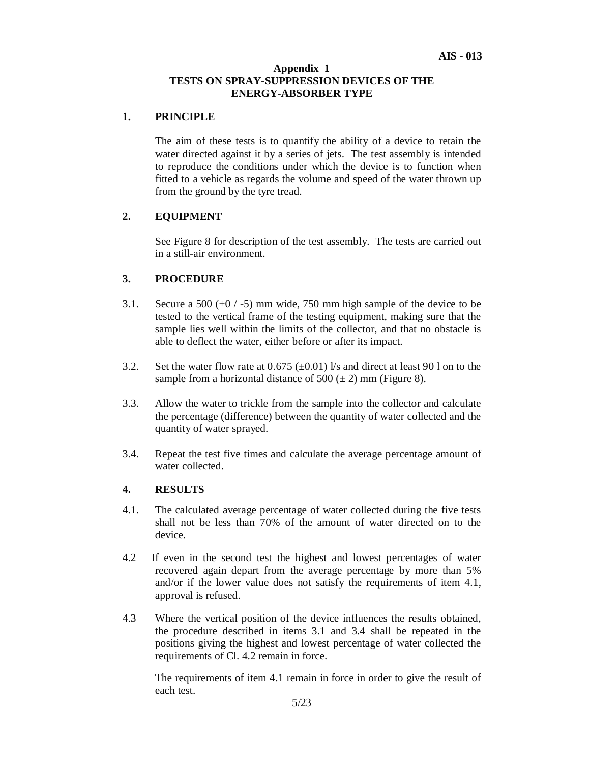#### **Appendix 1 TESTS ON SPRAY-SUPPRESSION DEVICES OF THE ENERGY-ABSORBER TYPE**

#### **1. PRINCIPLE**

The aim of these tests is to quantify the ability of a device to retain the water directed against it by a series of jets. The test assembly is intended to reproduce the conditions under which the device is to function when fitted to a vehicle as regards the volume and speed of the water thrown up from the ground by the tyre tread.

#### **2. EQUIPMENT**

See Figure 8 for description of the test assembly. The tests are carried out in a still-air environment.

#### **3. PROCEDURE**

- 3.1. Secure a 500 (+0 / -5) mm wide, 750 mm high sample of the device to be tested to the vertical frame of the testing equipment, making sure that the sample lies well within the limits of the collector, and that no obstacle is able to deflect the water, either before or after its impact.
- 3.2. Set the water flow rate at  $0.675 \ (\pm 0.01)$  l/s and direct at least 90 l on to the sample from a horizontal distance of 500  $(\pm 2)$  mm (Figure 8).
- 3.3. Allow the water to trickle from the sample into the collector and calculate the percentage (difference) between the quantity of water collected and the quantity of water sprayed.
- 3.4. Repeat the test five times and calculate the average percentage amount of water collected.

#### **4. RESULTS**

- 4.1. The calculated average percentage of water collected during the five tests shall not be less than 70% of the amount of water directed on to the device.
- 4.2 If even in the second test the highest and lowest percentages of water recovered again depart from the average percentage by more than 5% and/or if the lower value does not satisfy the requirements of item 4.1, approval is refused.
- 4.3 Where the vertical position of the device influences the results obtained, the procedure described in items 3.1 and 3.4 shall be repeated in the positions giving the highest and lowest percentage of water collected the requirements of Cl. 4.2 remain in force.

The requirements of item 4.1 remain in force in order to give the result of each test.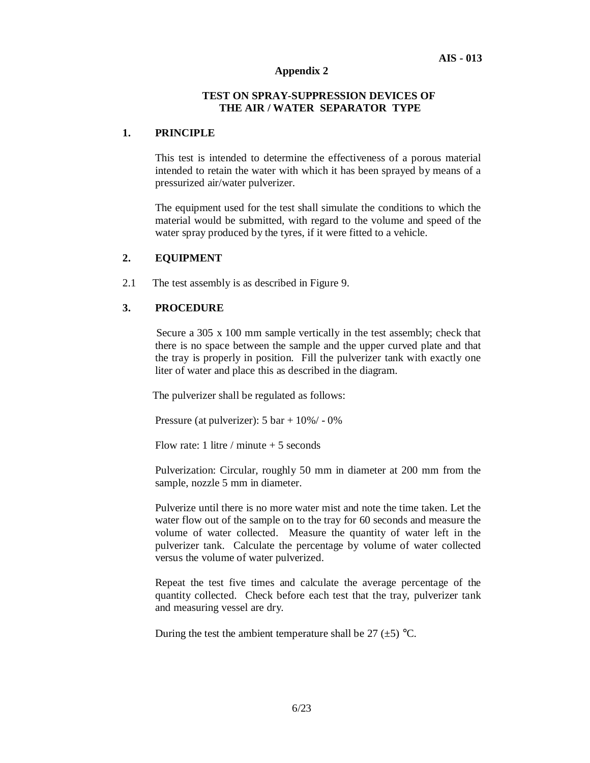# **Appendix 2**

#### **TEST ON SPRAY-SUPPRESSION DEVICES OF THE AIR / WATER SEPARATOR TYPE**

#### **1. PRINCIPLE**

This test is intended to determine the effectiveness of a porous material intended to retain the water with which it has been sprayed by means of a pressurized air/water pulverizer.

The equipment used for the test shall simulate the conditions to which the material would be submitted, with regard to the volume and speed of the water spray produced by the tyres, if it were fitted to a vehicle.

#### **2. EQUIPMENT**

2.1 The test assembly is as described in Figure 9.

#### **3. PROCEDURE**

Secure a 305 x 100 mm sample vertically in the test assembly; check that there is no space between the sample and the upper curved plate and that the tray is properly in position. Fill the pulverizer tank with exactly one liter of water and place this as described in the diagram.

The pulverizer shall be regulated as follows:

Pressure (at pulverizer): 5 bar + 10%/ - 0%

Flow rate: 1 litre / minute  $+5$  seconds

Pulverization: Circular, roughly 50 mm in diameter at 200 mm from the sample, nozzle 5 mm in diameter.

Pulverize until there is no more water mist and note the time taken. Let the water flow out of the sample on to the tray for 60 seconds and measure the volume of water collected. Measure the quantity of water left in the pulverizer tank. Calculate the percentage by volume of water collected versus the volume of water pulverized.

Repeat the test five times and calculate the average percentage of the quantity collected. Check before each test that the tray, pulverizer tank and measuring vessel are dry.

During the test the ambient temperature shall be 27  $(\pm 5)$  °C.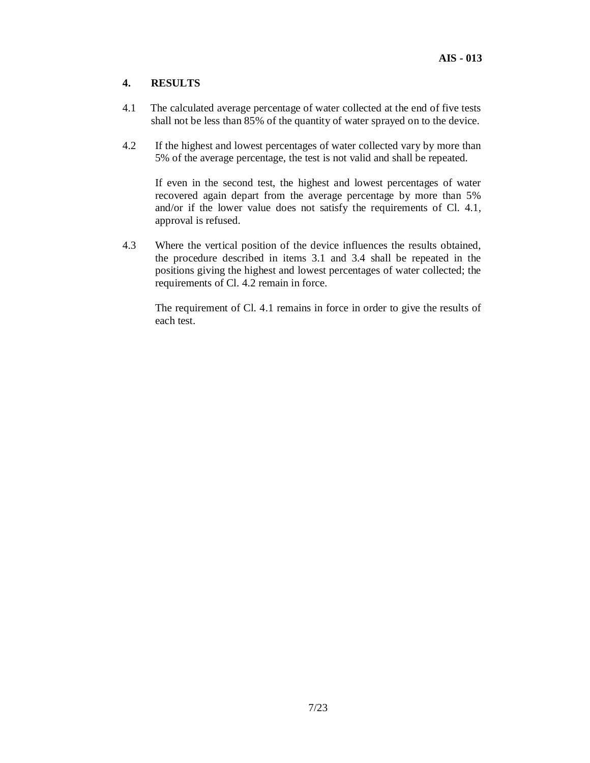# **4. RESULTS**

- 4.1 The calculated average percentage of water collected at the end of five tests shall not be less than 85% of the quantity of water sprayed on to the device.
- 4.2 If the highest and lowest percentages of water collected vary by more than 5% of the average percentage, the test is not valid and shall be repeated.

If even in the second test, the highest and lowest percentages of water recovered again depart from the average percentage by more than 5% and/or if the lower value does not satisfy the requirements of Cl. 4.1, approval is refused.

4.3 Where the vertical position of the device influences the results obtained, the procedure described in items 3.1 and 3.4 shall be repeated in the positions giving the highest and lowest percentages of water collected; the requirements of Cl. 4.2 remain in force.

The requirement of Cl. 4.1 remains in force in order to give the results of each test.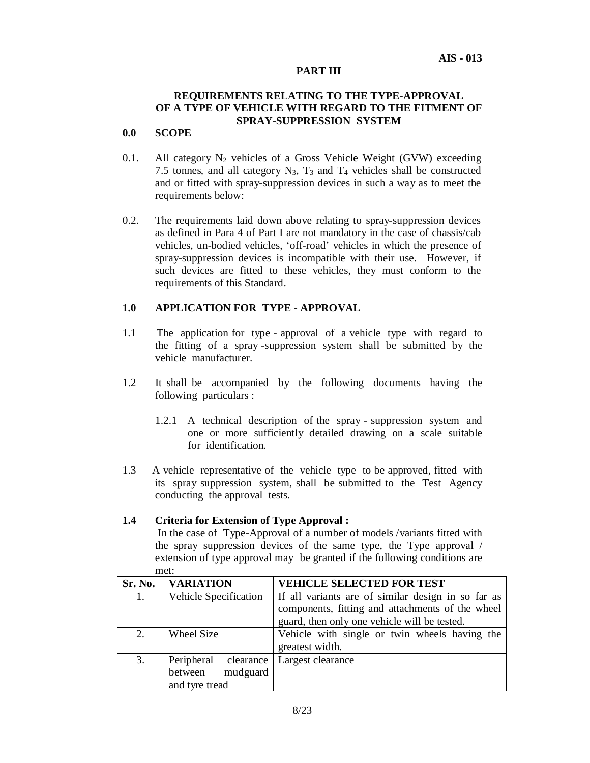#### **AIS - 013**

#### **PART III**

#### **REQUIREMENTS RELATING TO THE TYPE-APPROVAL OF A TYPE OF VEHICLE WITH REGARD TO THE FITMENT OF SPRAY-SUPPRESSION SYSTEM**

# **0.0 SCOPE**

- 0.1. All category  $N_2$  vehicles of a Gross Vehicle Weight (GVW) exceeding 7.5 tonnes, and all category  $N_3$ ,  $T_3$  and  $T_4$  vehicles shall be constructed and or fitted with spray-suppression devices in such a way as to meet the requirements below:
- 0.2. The requirements laid down above relating to spray-suppression devices as defined in Para 4 of Part I are not mandatory in the case of chassis/cab vehicles, un-bodied vehicles, 'off-road' vehicles in which the presence of spray-suppression devices is incompatible with their use. However, if such devices are fitted to these vehicles, they must conform to the requirements of this Standard.

#### **1.0 APPLICATION FOR TYPE - APPROVAL**

- 1.1 The application for type approval of a vehicle type with regard to the fitting of a spray -suppression system shall be submitted by the vehicle manufacturer.
- 1.2 It shall be accompanied by the following documents having the following particulars :
	- 1.2.1 A technical description of the spray suppression system and one or more sufficiently detailed drawing on a scale suitable for identification.
- 1.3 A vehicle representative of the vehicle type to be approved, fitted with its spray suppression system, shall be submitted to the Test Agency conducting the approval tests.

#### **1.4 Criteria for Extension of Type Approval :**

 In the case of Type-Approval of a number of models /variants fitted with the spray suppression devices of the same type, the Type approval / extension of type approval may be granted if the following conditions are met:

| Sr. No. | <b>VARIATION</b>      | <b>VEHICLE SELECTED FOR TEST</b>                   |
|---------|-----------------------|----------------------------------------------------|
| 1.      | Vehicle Specification | If all variants are of similar design in so far as |
|         |                       | components, fitting and attachments of the wheel   |
|         |                       | guard, then only one vehicle will be tested.       |
| 2.      | Wheel Size            | Vehicle with single or twin wheels having the      |
|         |                       | greatest width.                                    |
| 3.      | Peripheral clearance  | Largest clearance                                  |
|         | mudguard<br>between   |                                                    |
|         | and tyre tread        |                                                    |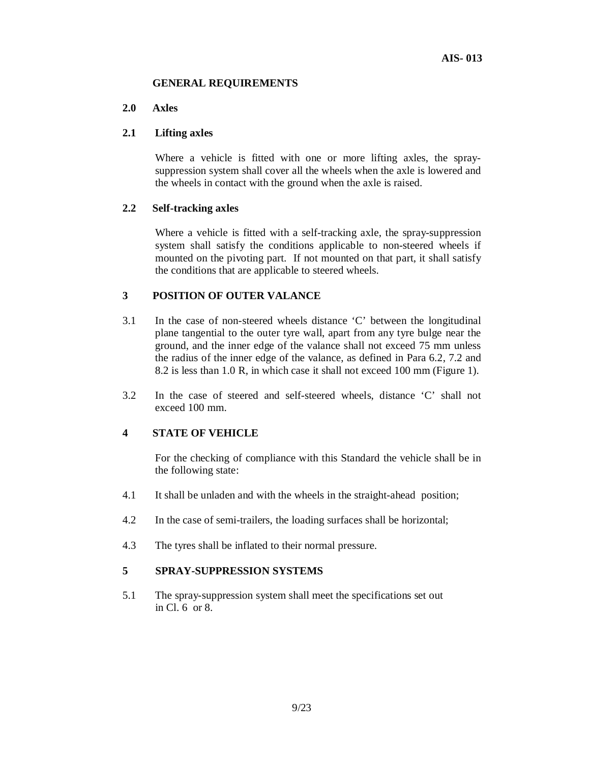#### **GENERAL REQUIREMENTS**

#### **2.0 Axles**

# **2.1 Lifting axles**

Where a vehicle is fitted with one or more lifting axles, the spraysuppression system shall cover all the wheels when the axle is lowered and the wheels in contact with the ground when the axle is raised.

#### **2.2 Self-tracking axles**

Where a vehicle is fitted with a self-tracking axle, the spray-suppression system shall satisfy the conditions applicable to non-steered wheels if mounted on the pivoting part. If not mounted on that part, it shall satisfy the conditions that are applicable to steered wheels.

# **3 POSITION OF OUTER VALANCE**

- 3.1 In the case of non-steered wheels distance 'C' between the longitudinal plane tangential to the outer tyre wall, apart from any tyre bulge near the ground, and the inner edge of the valance shall not exceed 75 mm unless the radius of the inner edge of the valance, as defined in Para 6.2, 7.2 and 8.2 is less than 1.0 R, in which case it shall not exceed 100 mm (Figure 1).
- 3.2 In the case of steered and self-steered wheels, distance 'C' shall not exceed 100 mm.

#### **4 STATE OF VEHICLE**

For the checking of compliance with this Standard the vehicle shall be in the following state:

- 4.1 It shall be unladen and with the wheels in the straight-ahead position;
- 4.2 In the case of semi-trailers, the loading surfaces shall be horizontal;
- 4.3 The tyres shall be inflated to their normal pressure.

#### **5 SPRAY-SUPPRESSION SYSTEMS**

5.1 The spray-suppression system shall meet the specifications set out in Cl. 6 or 8.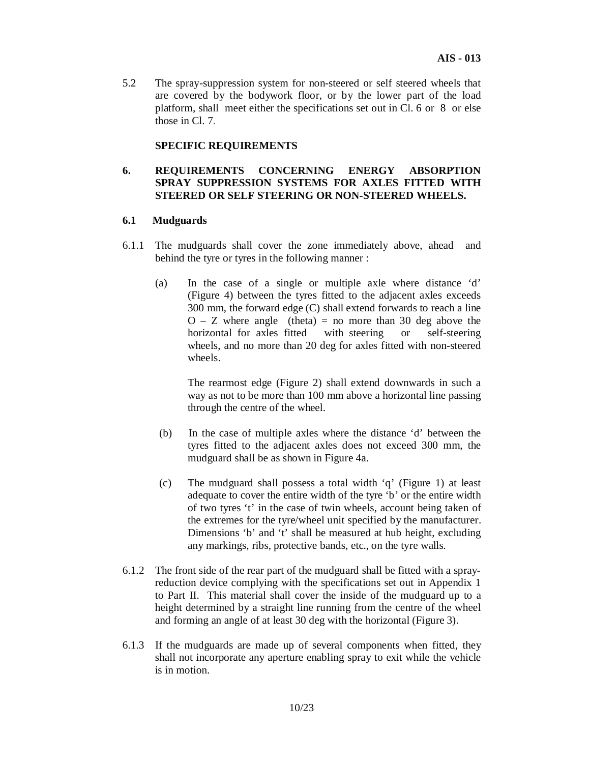5.2 The spray-suppression system for non-steered or self steered wheels that are covered by the bodywork floor, or by the lower part of the load platform, shall meet either the specifications set out in Cl. 6 or 8 or else those in Cl. 7*.*

#### **SPECIFIC REQUIREMENTS**

#### **6. REQUIREMENTS CONCERNING ENERGY ABSORPTION SPRAY SUPPRESSION SYSTEMS FOR AXLES FITTED WITH STEERED OR SELF STEERING OR NON-STEERED WHEELS.**

#### **6.1 Mudguards**

- 6.1.1 The mudguards shall cover the zone immediately above, ahead and behind the tyre or tyres in the following manner :
	- (a) In the case of a single or multiple axle where distance 'd' (Figure 4) between the tyres fitted to the adjacent axles exceeds 300 mm, the forward edge (C) shall extend forwards to reach a line  $O - Z$  where angle (theta) = no more than 30 deg above the horizontal for axles fitted with steering or self-steering wheels, and no more than 20 deg for axles fitted with non-steered wheels.

 The rearmost edge (Figure 2) shall extend downwards in such a way as not to be more than 100 mm above a horizontal line passing through the centre of the wheel.

- (b) In the case of multiple axles where the distance 'd' between the tyres fitted to the adjacent axles does not exceed 300 mm, the mudguard shall be as shown in Figure 4a.
- (c) The mudguard shall possess a total width 'q' (Figure 1) at least adequate to cover the entire width of the tyre 'b' or the entire width of two tyres 't' in the case of twin wheels, account being taken of the extremes for the tyre/wheel unit specified by the manufacturer. Dimensions 'b' and 't' shall be measured at hub height, excluding any markings, ribs, protective bands, etc., on the tyre walls.
- 6.1.2 The front side of the rear part of the mudguard shall be fitted with a sprayreduction device complying with the specifications set out in Appendix 1 to Part II. This material shall cover the inside of the mudguard up to a height determined by a straight line running from the centre of the wheel and forming an angle of at least 30 deg with the horizontal (Figure 3).
- 6.1.3 If the mudguards are made up of several components when fitted, they shall not incorporate any aperture enabling spray to exit while the vehicle is in motion.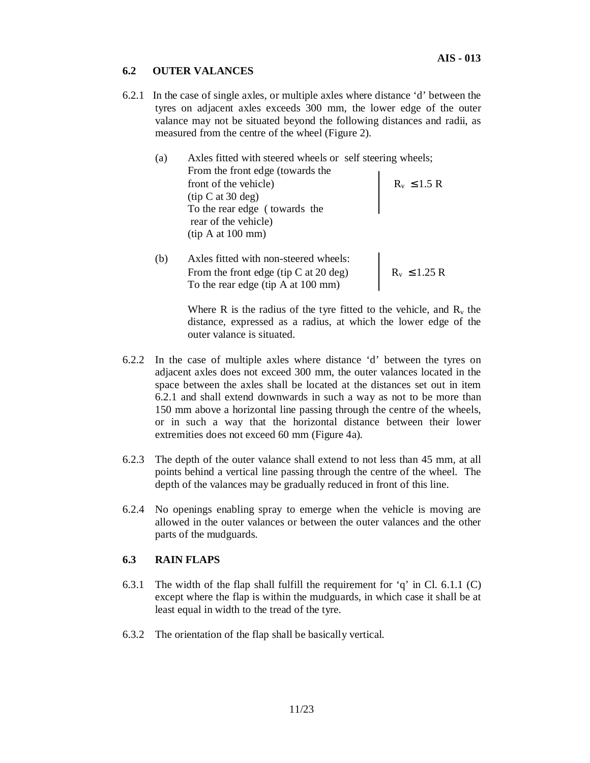# **6.2 OUTER VALANCES**

6.2.1 In the case of single axles, or multiple axles where distance 'd' between the tyres on adjacent axles exceeds 300 mm, the lower edge of the outer valance may not be situated beyond the following distances and radii, as measured from the centre of the wheel (Figure 2).

| (a) | Axles fitted with steered wheels or self steering wheels; |                  |
|-----|-----------------------------------------------------------|------------------|
|     | From the front edge (towards the                          |                  |
|     | front of the vehicle)                                     | $R_v \leq 1.5 R$ |
|     | (tip C at 30 deg)                                         |                  |
|     | To the rear edge (towards the                             |                  |
|     | rear of the vehicle)                                      |                  |
|     | (tip A at 100 mm)                                         |                  |
|     |                                                           |                  |

(b) Axles fitted with non-steered wheels: From the front edge (tip C at 20 deg)  $R_v \le 1.25 R$ To the rear edge (tip A at 100 mm)

> Where R is the radius of the tyre fitted to the vehicle, and  $R_v$  the distance, expressed as a radius, at which the lower edge of the outer valance is situated.

- 6.2.2 In the case of multiple axles where distance 'd' between the tyres on adjacent axles does not exceed 300 mm, the outer valances located in the space between the axles shall be located at the distances set out in item 6.2.1 and shall extend downwards in such a way as not to be more than 150 mm above a horizontal line passing through the centre of the wheels, or in such a way that the horizontal distance between their lower extremities does not exceed 60 mm (Figure 4a).
- 6.2.3 The depth of the outer valance shall extend to not less than 45 mm, at all points behind a vertical line passing through the centre of the wheel. The depth of the valances may be gradually reduced in front of this line.
- 6.2.4 No openings enabling spray to emerge when the vehicle is moving are allowed in the outer valances or between the outer valances and the other parts of the mudguards.

#### **6.3 RAIN FLAPS**

- 6.3.1 The width of the flap shall fulfill the requirement for 'q' in Cl. 6.1.1 (C) except where the flap is within the mudguards, in which case it shall be at least equal in width to the tread of the tyre.
- 6.3.2 The orientation of the flap shall be basically vertical.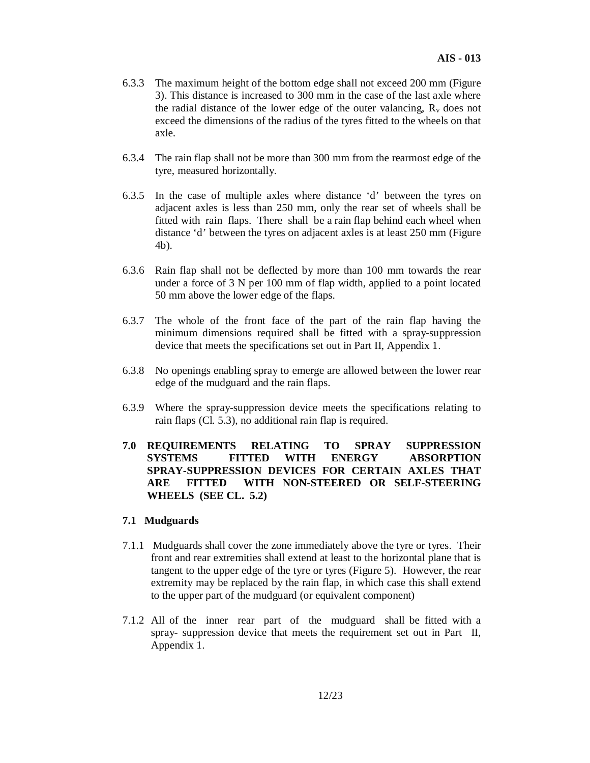- 6.3.3 The maximum height of the bottom edge shall not exceed 200 mm (Figure 3). This distance is increased to 300 mm in the case of the last axle where the radial distance of the lower edge of the outer valancing,  $R<sub>v</sub>$  does not exceed the dimensions of the radius of the tyres fitted to the wheels on that axle.
- 6.3.4 The rain flap shall not be more than 300 mm from the rearmost edge of the tyre, measured horizontally.
- 6.3.5 In the case of multiple axles where distance 'd' between the tyres on adjacent axles is less than 250 mm, only the rear set of wheels shall be fitted with rain flaps. There shall be a rain flap behind each wheel when distance 'd' between the tyres on adjacent axles is at least 250 mm (Figure 4b).
- 6.3.6 Rain flap shall not be deflected by more than 100 mm towards the rear under a force of 3 N per 100 mm of flap width, applied to a point located 50 mm above the lower edge of the flaps.
- 6.3.7 The whole of the front face of the part of the rain flap having the minimum dimensions required shall be fitted with a spray-suppression device that meets the specifications set out in Part II, Appendix 1.
- 6.3.8 No openings enabling spray to emerge are allowed between the lower rear edge of the mudguard and the rain flaps.
- 6.3.9 Where the spray-suppression device meets the specifications relating to rain flaps (Cl. 5.3), no additional rain flap is required.
- **7.0 REQUIREMENTS RELATING TO SPRAY SUPPRESSION SYSTEMS FITTED WITH ENERGY ABSORPTION SPRAY-SUPPRESSION DEVICES FOR CERTAIN AXLES THAT ARE FITTED WITH NON-STEERED OR SELF-STEERING WHEELS (SEE CL. 5.2)**

#### **7.1 Mudguards**

- 7.1.1 Mudguards shall cover the zone immediately above the tyre or tyres. Their front and rear extremities shall extend at least to the horizontal plane that is tangent to the upper edge of the tyre or tyres (Figure 5). However, the rear extremity may be replaced by the rain flap, in which case this shall extend to the upper part of the mudguard (or equivalent component)
- 7.1.2 All of the inner rear part of the mudguard shall be fitted with a spray- suppression device that meets the requirement set out in Part II, Appendix 1.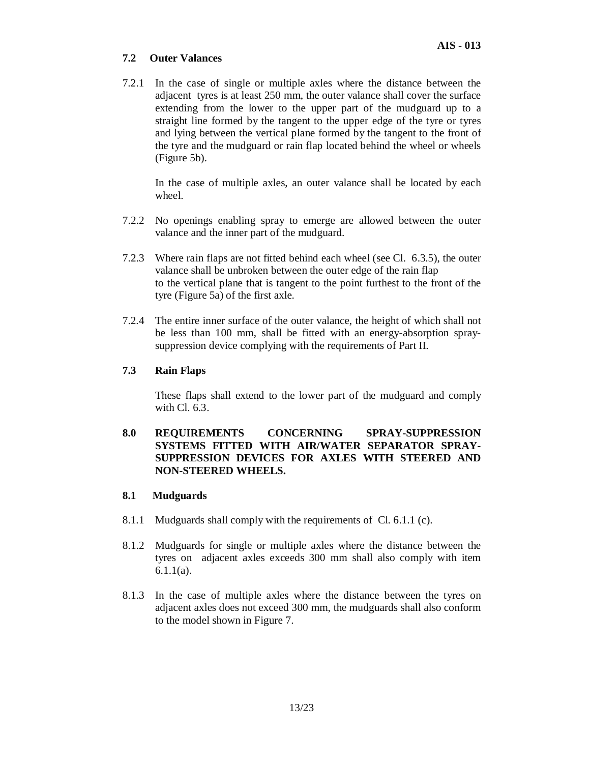# **7.2 Outer Valances**

7.2.1 In the case of single or multiple axles where the distance between the adjacent tyres is at least 250 mm, the outer valance shall cover the surface extending from the lower to the upper part of the mudguard up to a straight line formed by the tangent to the upper edge of the tyre or tyres and lying between the vertical plane formed by the tangent to the front of the tyre and the mudguard or rain flap located behind the wheel or wheels (Figure 5b).

In the case of multiple axles, an outer valance shall be located by each wheel.

- 7.2.2 No openings enabling spray to emerge are allowed between the outer valance and the inner part of the mudguard.
- 7.2.3 Where rain flaps are not fitted behind each wheel (see Cl. 6.3.5), the outer valance shall be unbroken between the outer edge of the rain flap to the vertical plane that is tangent to the point furthest to the front of the tyre (Figure 5a) of the first axle.
- 7.2.4 The entire inner surface of the outer valance, the height of which shall not be less than 100 mm, shall be fitted with an energy-absorption spraysuppression device complying with the requirements of Part II.

# **7.3 Rain Flaps**

These flaps shall extend to the lower part of the mudguard and comply with Cl. 6.3.

# **8.0 REQUIREMENTS CONCERNING SPRAY-SUPPRESSION SYSTEMS FITTED WITH AIR/WATER SEPARATOR SPRAY-SUPPRESSION DEVICES FOR AXLES WITH STEERED AND NON-STEERED WHEELS.**

#### **8.1 Mudguards**

- 8.1.1 Mudguards shall comply with the requirements of Cl. 6.1.1 (c).
- 8.1.2 Mudguards for single or multiple axles where the distance between the tyres on adjacent axles exceeds 300 mm shall also comply with item 6.1.1(a).
- 8.1.3 In the case of multiple axles where the distance between the tyres on adjacent axles does not exceed 300 mm, the mudguards shall also conform to the model shown in Figure 7.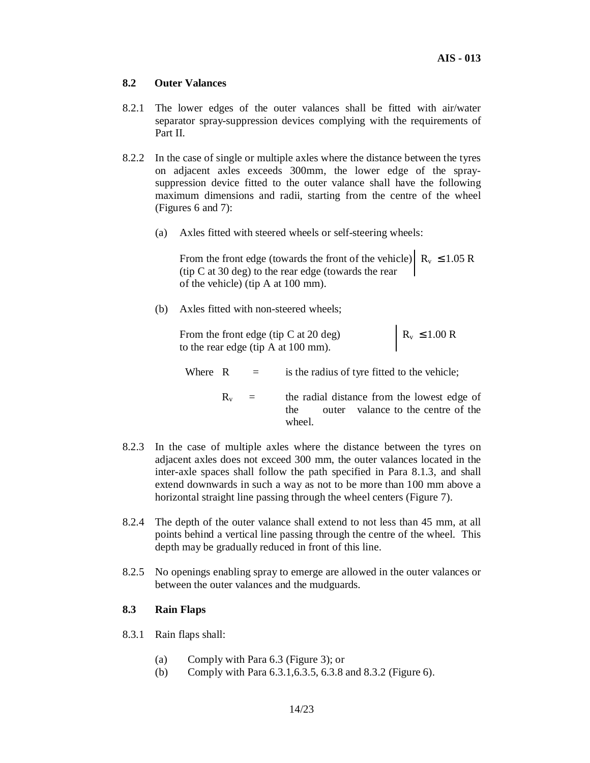#### **8.2 Outer Valances**

- 8.2.1 The lower edges of the outer valances shall be fitted with air/water separator spray-suppression devices complying with the requirements of Part II.
- 8.2.2 In the case of single or multiple axles where the distance between the tyres on adjacent axles exceeds 300mm, the lower edge of the spraysuppression device fitted to the outer valance shall have the following maximum dimensions and radii, starting from the centre of the wheel (Figures 6 and 7):
	- (a) Axles fitted with steered wheels or self-steering wheels:

From the front edge (towards the front of the vehicle)  $R_v \le 1.05 R$ (tip C at 30 deg) to the rear edge (towards the rear of the vehicle) (tip A at 100 mm).

(b) Axles fitted with non-steered wheels;

From the front edge (tip C at 20 deg)  $R_v \le 1.00 \text{ R}$ to the rear edge (tip A at 100 mm).

Where  $R =$  is the radius of tyre fitted to the vehicle;

- $R_v$  = the radial distance from the lowest edge of the outer valance to the centre of the wheel.
- 8.2.3 In the case of multiple axles where the distance between the tyres on adjacent axles does not exceed 300 mm, the outer valances located in the inter-axle spaces shall follow the path specified in Para 8.1.3, and shall extend downwards in such a way as not to be more than 100 mm above a horizontal straight line passing through the wheel centers (Figure 7).
- 8.2.4 The depth of the outer valance shall extend to not less than 45 mm, at all points behind a vertical line passing through the centre of the wheel. This depth may be gradually reduced in front of this line.
- 8.2.5 No openings enabling spray to emerge are allowed in the outer valances or between the outer valances and the mudguards.

# **8.3 Rain Flaps**

8.3.1 Rain flaps shall:

- (a) Comply with Para 6.3 (Figure 3); or
- (b) Comply with Para 6.3.1,6.3.5, 6.3.8 and 8.3.2 (Figure 6).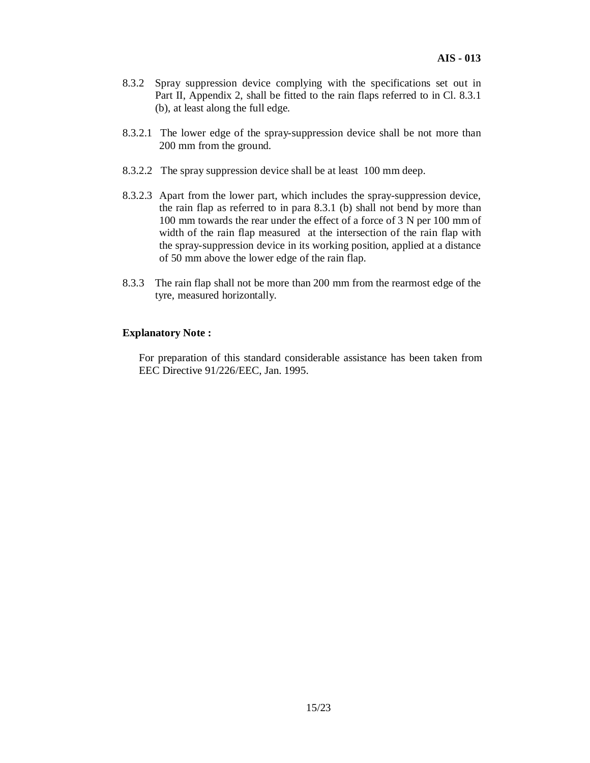- 8.3.2 Spray suppression device complying with the specifications set out in Part II, Appendix 2, shall be fitted to the rain flaps referred to in Cl. 8.3.1 (b), at least along the full edge.
- 8.3.2.1 The lower edge of the spray-suppression device shall be not more than 200 mm from the ground.
- 8.3.2.2 The spray suppression device shall be at least 100 mm deep.
- 8.3.2.3 Apart from the lower part, which includes the spray-suppression device, the rain flap as referred to in para 8.3.1 (b) shall not bend by more than 100 mm towards the rear under the effect of a force of 3 N per 100 mm of width of the rain flap measured at the intersection of the rain flap with the spray-suppression device in its working position, applied at a distance of 50 mm above the lower edge of the rain flap.
- 8.3.3 The rain flap shall not be more than 200 mm from the rearmost edge of the tyre, measured horizontally.

#### **Explanatory Note :**

For preparation of this standard considerable assistance has been taken from EEC Directive 91/226/EEC, Jan. 1995.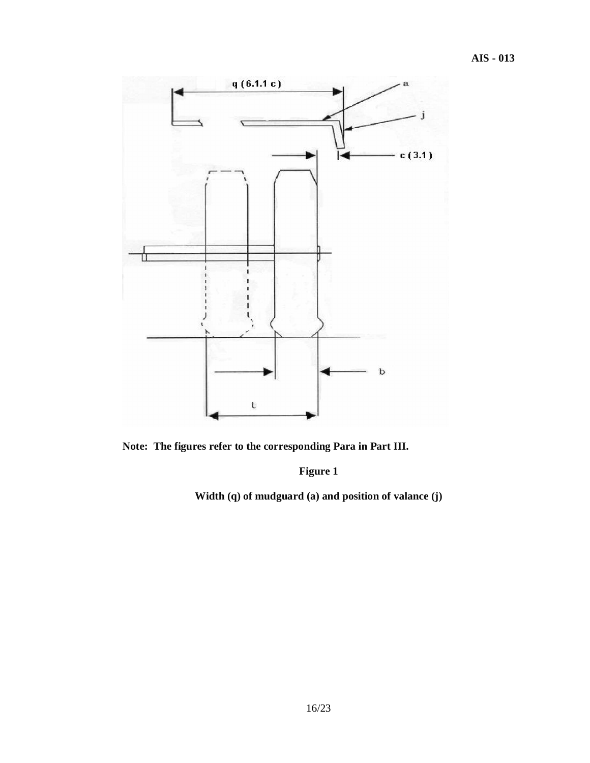

**Note: The figures refer to the corresponding Para in Part III.**

**Figure 1**

**Width (q) of mudguard (a) and position of valance (j)**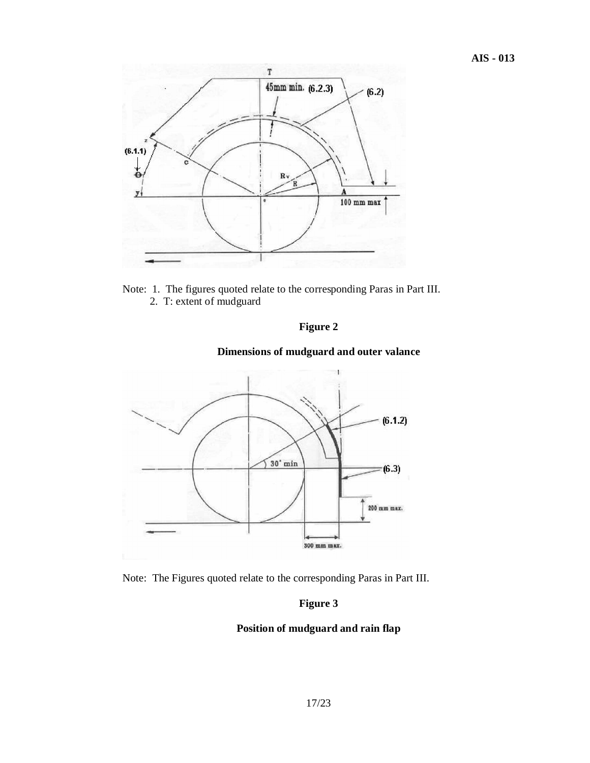

Note: 1. The figures quoted relate to the corresponding Paras in Part III. 2. T: extent of mudguard





# **Dimensions of mudguard and outer valance**

Note: The Figures quoted relate to the corresponding Paras in Part III.

# **Figure 3**

#### **Position of mudguard and rain flap**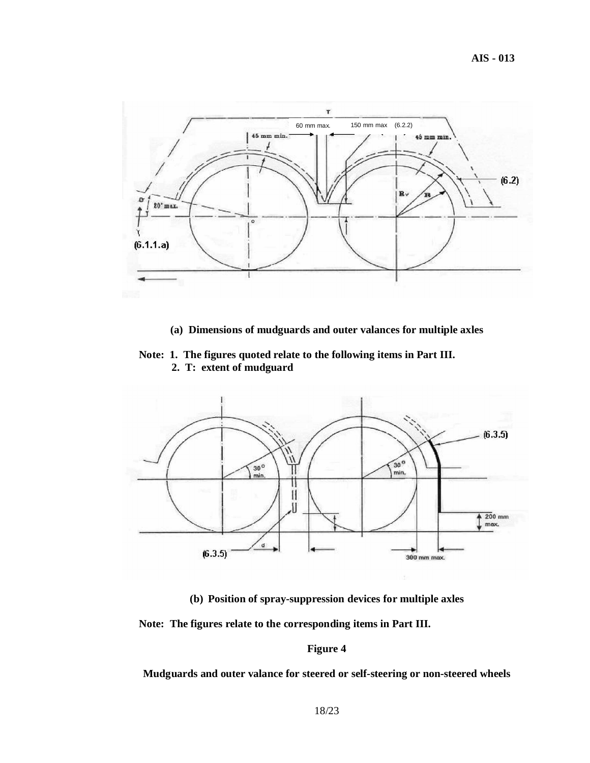

**(a) Dimensions of mudguards and outer valances for multiple axles**

**Note: 1. The figures quoted relate to the following items in Part III. 2. T: extent of mudguard**



**(b) Position of spray-suppression devices for multiple axles**

**Note: The figures relate to the corresponding items in Part III.**

#### **Figure 4**

**Mudguards and outer valance for steered or self-steering or non-steered wheels**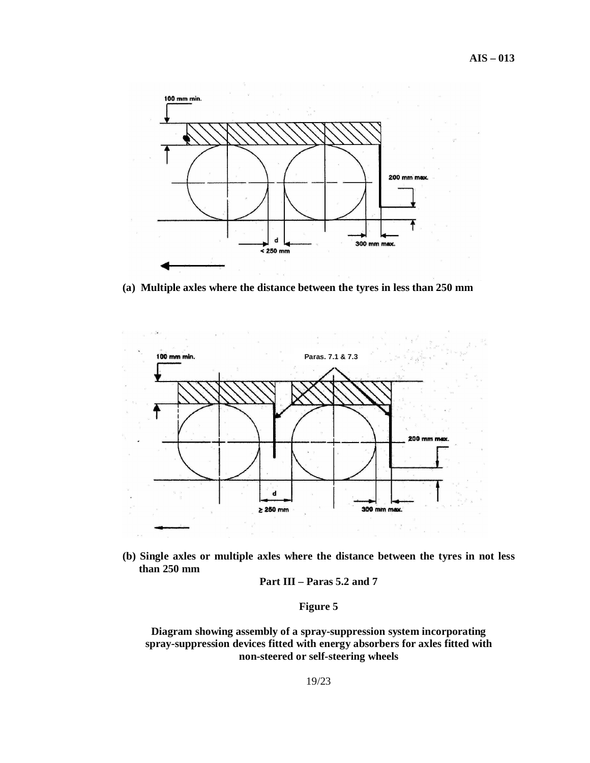

**(a) Multiple axles where the distance between the tyres in less than 250 mm**



**(b) Single axles or multiple axles where the distance between the tyres in not less than 250 mm**

**Part III – Paras 5.2 and 7**

# **Figure 5**

**Diagram showing assembly of a spray-suppression system incorporating spray-suppression devices fitted with energy absorbers for axles fitted with non-steered or self-steering wheels**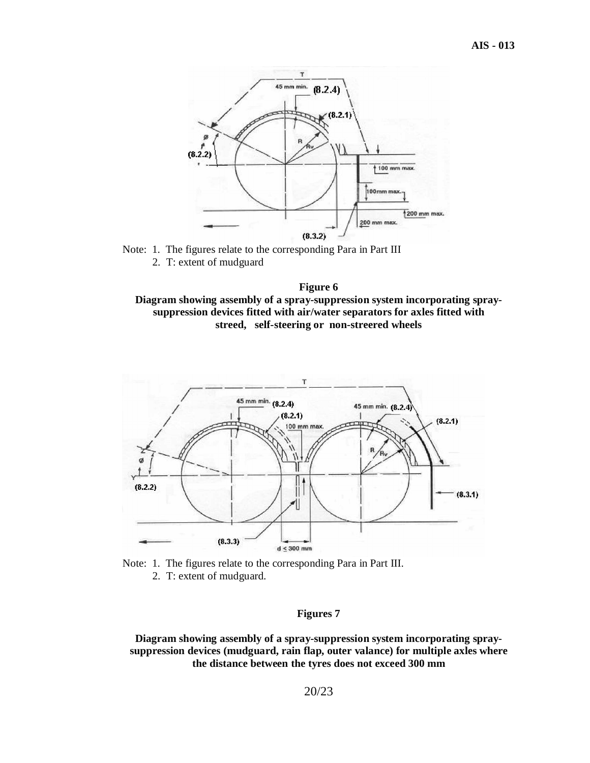

Note: 1. The figures relate to the corresponding Para in Part III 2. T: extent of mudguard







#### **Figures 7**

**Diagram showing assembly of a spray-suppression system incorporating spraysuppression devices (mudguard, rain flap, outer valance) for multiple axles where the distance between the tyres does not exceed 300 mm**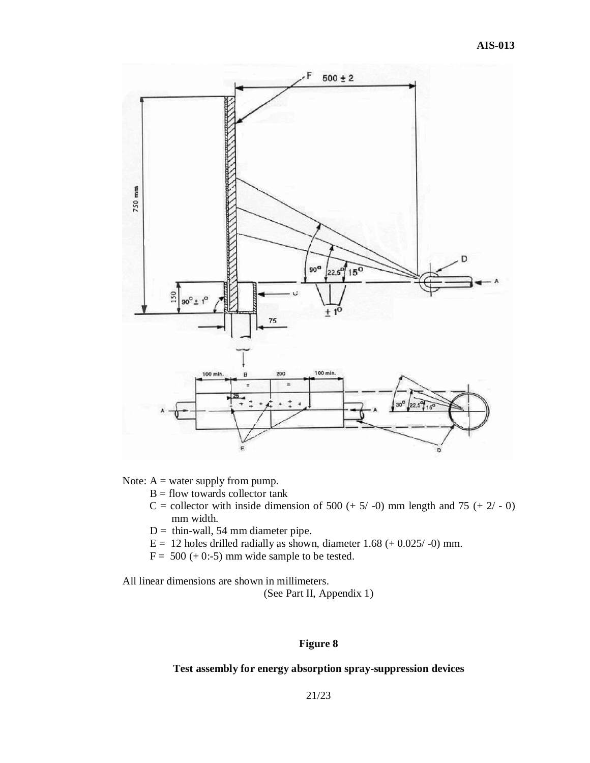

Note:  $A =$  water supply from pump.

- $B =$  flow towards collector tank
- C = collector with inside dimension of 500 (+  $5/$  -0) mm length and 75 (+  $2/$  0) mm width.
- $D =$  thin-wall, 54 mm diameter pipe.
- $E = 12$  holes drilled radially as shown, diameter 1.68 (+ 0.025/-0) mm.
- $F = 500 (+ 0:-5)$  mm wide sample to be tested.

All linear dimensions are shown in millimeters.

(See Part II, Appendix 1)

#### **Figure 8**

#### **Test assembly for energy absorption spray-suppression devices**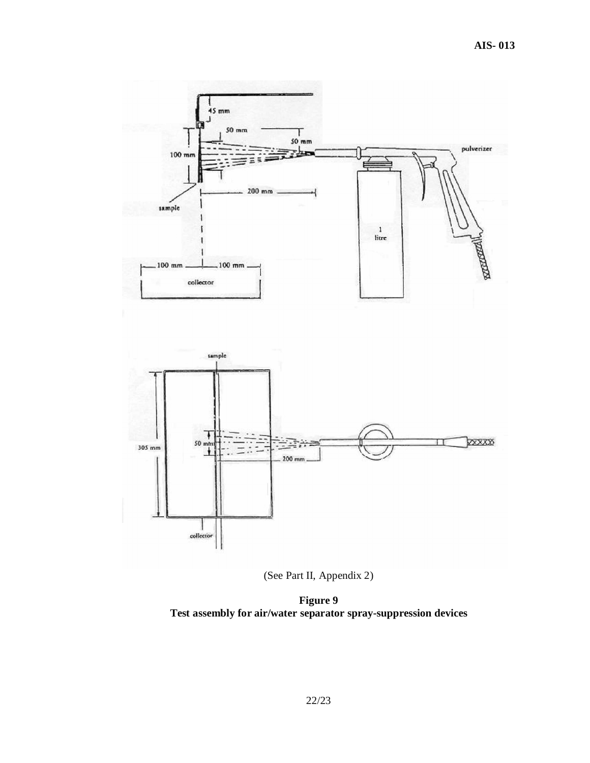

(See Part II, Appendix 2)

**Figure 9 Test assembly for air/water separator spray-suppression devices**